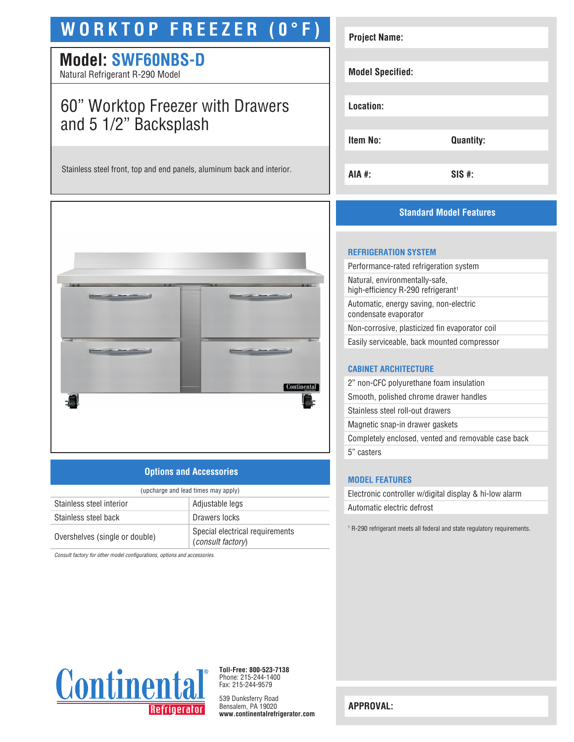# **WORKTOP FREEZER (0°F)**

## **Model: SWF60NBS-D**

Natural Refrigerant R-290 Model

## 60" Worktop Freezer with Drawers and 5 1/2" Backsplash

Stainless steel front, top and end panels, aluminum back and interior.



## **Options and Accessories**

| (upcharge and lead times may apply) |                                                             |  |
|-------------------------------------|-------------------------------------------------------------|--|
| Stainless steel interior            | Adjustable legs                                             |  |
| Stainless steel back                | Drawers locks                                               |  |
| Overshelves (single or double)      | Special electrical requirements<br><i>(consult factory)</i> |  |

*Consult factory for other model configurations, options and accessories.*

| <b>Project Name:</b>    |                  |
|-------------------------|------------------|
| <b>Model Specified:</b> |                  |
| Location:               |                  |
| Item No:                | <b>Quantity:</b> |
| AIA #:                  | $SIS$ #:         |

## **Standard Model Features**

#### **REFRIGERATION SYSTEM**

| Performance-rated refrigeration system                                           |
|----------------------------------------------------------------------------------|
| Natural, environmentally-safe,<br>high-efficiency R-290 refrigerant <sup>1</sup> |
| Automatic, energy saving, non-electric<br>condensate evaporator                  |
| Non-corrosive, plasticized fin evaporator coil                                   |
| Easily serviceable, back mounted compressor                                      |
|                                                                                  |

### **CABINET ARCHITECTURE**

| 2" non-CFC polyurethane foam insulation             |
|-----------------------------------------------------|
| Smooth, polished chrome drawer handles              |
| Stainless steel roll-out drawers                    |
| Magnetic snap-in drawer gaskets                     |
| Completely enclosed, vented and removable case back |
| 5" casters                                          |
|                                                     |

## **MODEL FEATURES**

Electronic controller w/digital display & hi-low alarm Automatic electric defrost

1 R-290 refrigerant meets all federal and state regulatory requirements.



**Toll-Free: 800-523-7138** Phone: 215-244-1400 Fax: 215-244-9579

539 Dunksferry Road Bensalem, PA 19020 **www.continentalrefrigerator.com** 

**APPROVAL:**